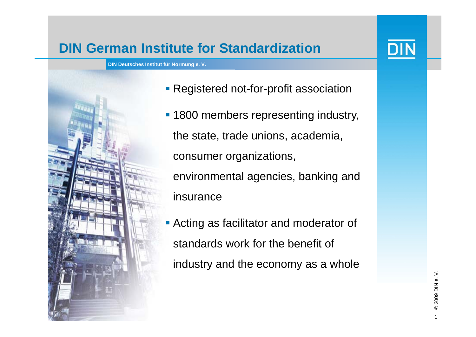## **DIN German Institute for Standardization**



- **Registered not-for-profit association**
- **1800 members representing industry,** the state, trade unions, academia, consumer organizations, environmental agencies, banking and insurance
- **Acting as facilitator and moderator of** standards work for the benefit of industry and the economy as a whole

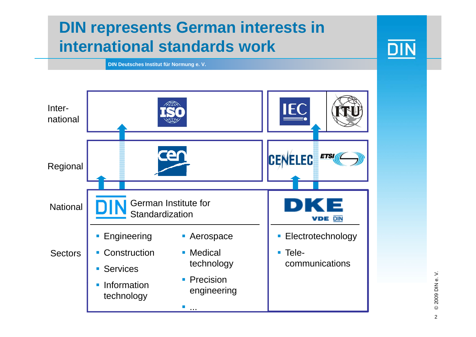# **DIN represents German interests in international standards work**



**DIN Deutsches Institut für Normung e. V.**



© 2009 DIN e. V. © 2009 DIN 2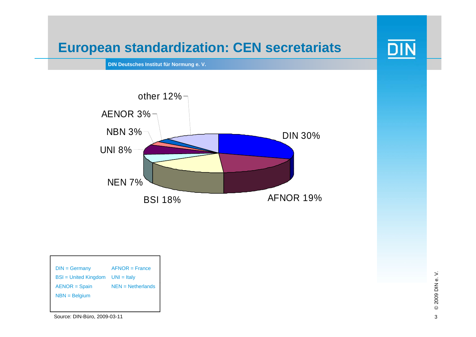## **European standardization: CEN secretariats**

**DIN Deutsches Institut für Normung e. V.**



| $DIN = Germany$        | $AFNOR = France$    |
|------------------------|---------------------|
| $BSI = United Kingdom$ | $UNI = Italv$       |
| $AENOR = Spain$        | $NEN = Netherlands$ |
| $NBN = Belqium$        |                     |
|                        |                     |

Source: DIN-Büro, 2009-03-11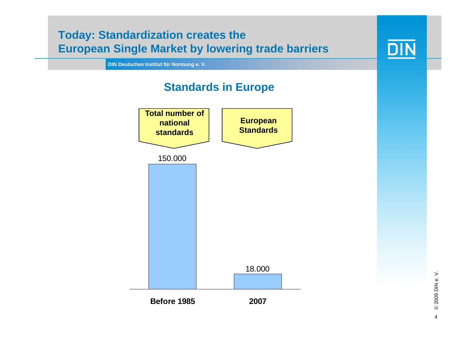



© 2009 DIN 4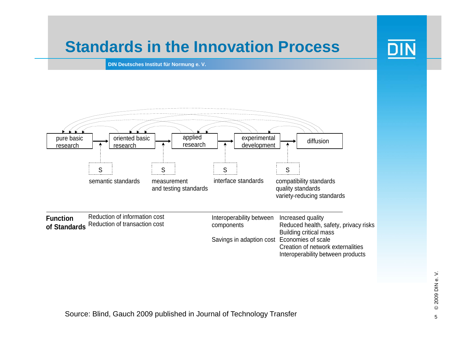## **Standards in the Innovation Process**

**DIN Deutsches Institut für Normung e. V.**

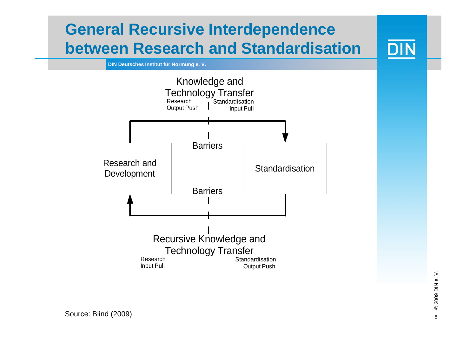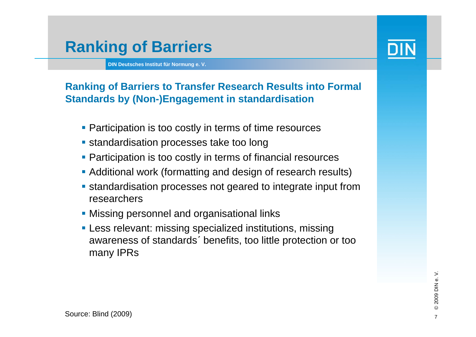## **Ranking of Barriers**



- Participation is too costly in terms of time resources
- **standardisation processes take too long**
- **Participation is too costly in terms of financial resources**
- Additional work (formatting and design of research results)
- standardisation processes not geared to integrate input from researchers
- **Missing personnel and organisational links**
- **Less relevant: missing specialized institutions, missing** awareness of standards´ benefits, too little protection or too many IPRs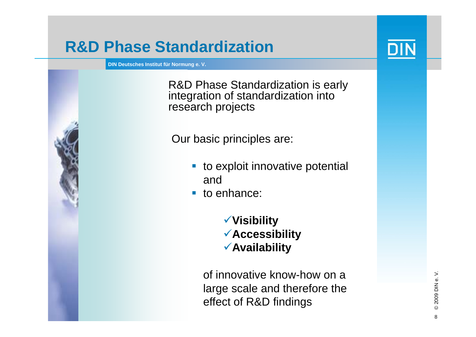## **R&D Phase Standardization**

**DIN Deutsches Institut für Normung e. V.**

R&D Phase Standardization is early integration of standardization into research projects

Our basic principles are:

- **tio exploit innovative potential** and
- to enhance:

<sup>9</sup>**Visibility** <sup>9</sup>**Accessibility** 9**A il bilit Avail ability**

of innovative know-how on a large scale and therefore the effect of R&D findings



**DIN** 

8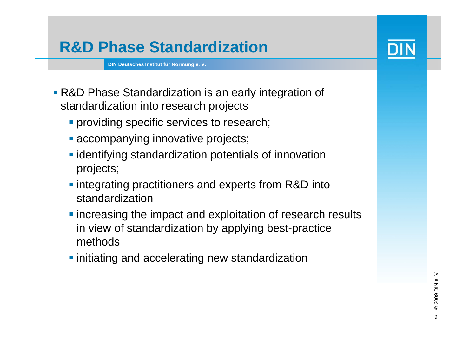# **R&D Phase Standardization**

- R&D Phase Standardization is an early integration of standardization into research projects
	- **Providing specific services to research;**
	- **Exercise 2 accompanying innovative projects;**
	- **Example 1** identifying standardization potentials of innovation projects;
	- **Integrating practitioners and experts from R&D into** standardization
	- **The increasing the impact and exploitation of research results** in view of standardization by applying best-practice methods
	- **·** initiating and accelerating new standardization

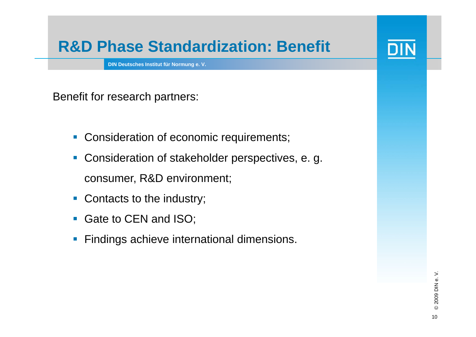## **R&D Phase Standardization: Benefit**

**DIN Deutsches Institut für Normung e. V.**

Benefit for research partners:

- **Consideration of economic requirements;**
- $\overline{\phantom{a}}$  Consideration of stakeholder perspectives, e. g. consumer, R&D environment;
- $\Box$ Contacts to the industry;
- $\blacksquare$ Gate to CEN and ISO;
- $\overline{\phantom{a}}$ **Findings achieve international dimensions.**

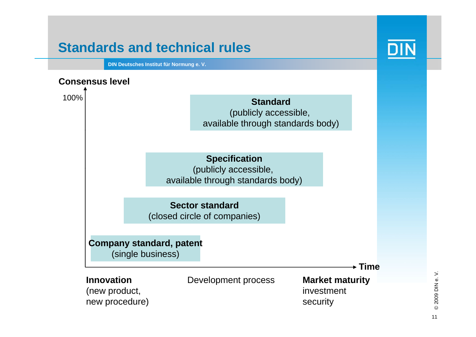## **Standards and technical rules**

**DIN Deutsches Institut für Normung e. V.**



© 2009 DIN e.V. © 2009 DIN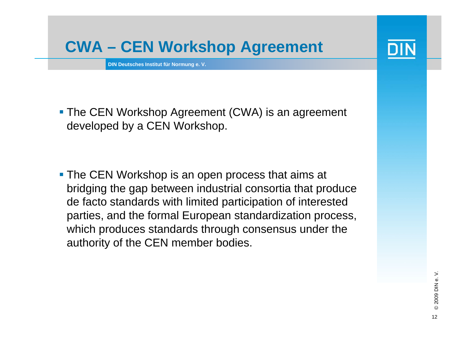# **CWA – CEN Worksho p A greement p g**

**DIN Deutsches Institut für Normung e. V.**

**The CEN Workshop Agreement (CWA) is an agreement** developed by a CEN Workshop.

**The CEN Workshop is an open process that aims at** bridging the gap between industrial consortia that produce de facto standards with limited participation of interested parties, and the formal European standardization process, which produces standards through consensus under the authority of the CEN member bodies.



12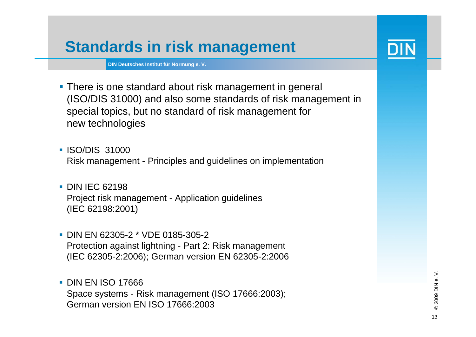# **Standards in risk mana gement**

- There is one standard about risk management in general (ISO/DIS 31000) and also some standards of risk management in special topics, but no standard of risk management for new technologies
- **ISO/DIS 31000** Risk management - Principles and guidelines on implementation
- **DIN IEC 62198** Project risk management - Application guidelines (IEC 62198:2001)
- DIN EN 62305-2 \* VDE 0185-305-2Protection against lightning - Part 2: Risk management (IEC 62305-2:2006); German version EN 62305-2:2006
- **DIN EN ISO 17666** . . <u>. . . . .</u> Space systems - Risk management (ISO 17666:2003); German version EN ISO 17666:2003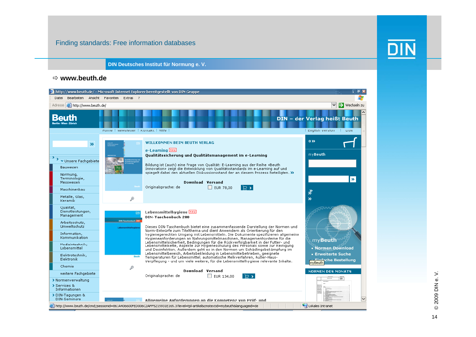#### Finding standards: Free information databases



**DIN Deutsches Institut für Normung e. V.**

#### Ö **www.beuth.de**

| $\Box$ $\Box$ $\triangleright$<br>http://www.beuth.de/ - Microsoft Internet Explorer bereitgestellt von DIN-Gruppe                                                   |                                                                                                                                               |                                                                                                                                                                                                                                                                                                                                                                                                                                                                                                    |                                                                                        |
|----------------------------------------------------------------------------------------------------------------------------------------------------------------------|-----------------------------------------------------------------------------------------------------------------------------------------------|----------------------------------------------------------------------------------------------------------------------------------------------------------------------------------------------------------------------------------------------------------------------------------------------------------------------------------------------------------------------------------------------------------------------------------------------------------------------------------------------------|----------------------------------------------------------------------------------------|
| Bearbeiten Ansicht Favoriten Extras ?<br>Datei                                                                                                                       |                                                                                                                                               |                                                                                                                                                                                                                                                                                                                                                                                                                                                                                                    |                                                                                        |
| Adresse <b>&amp;</b> http://www.beuth.de/<br>$\Rightarrow$ Wechseln zu                                                                                               |                                                                                                                                               |                                                                                                                                                                                                                                                                                                                                                                                                                                                                                                    |                                                                                        |
| arlin - Wien - Zürich                                                                                                                                                | Home   Newsletter   Kontakt   Hilfe                                                                                                           |                                                                                                                                                                                                                                                                                                                                                                                                                                                                                                    | DIN - der Verlag heißt Beuth<br>English Version<br>≑ DIN                               |
| $\boldsymbol{\mathcal{D}}$<br>$\rightarrow$ $\rightarrow$ Unsere Fachgebiete<br>Bauwesen<br>Normung,<br>Terminologie,<br>Messwesen<br>Maschinenbau<br>Metalle, Glas, |                                                                                                                                               | <b>WILLKOMMEN BEIM BEUTH VERLAG</b><br>e-Learning new<br>Qualitätssicherung und Qualitätsmanagement im e-Learning<br>Bildung ist (auch) eine Frage von Qualität: E-Learning aus der Reihe «Beuth-<br>Innovation» zeigt die Entwicklung von Qualitätsstandards im e-Learning auf und<br>spiegelt dabei den aktuellen Diskussionsstand der an diesem Prozess Beteiligten. »<br>Download Versand<br>Originalsprache: de<br>$\Box$ EUR 78,00<br>$\triangleright$                                       | $0 \gg$<br>myBeuth<br>$\mathbf{v}$<br>∛                                                |
| <b>Keramik</b>                                                                                                                                                       | ₽                                                                                                                                             |                                                                                                                                                                                                                                                                                                                                                                                                                                                                                                    | $\rightarrow$                                                                          |
| Qualität,<br>Dienstleistungen,<br>Management<br>Arbeitsschutz.<br>Umweltschutz<br>Information.<br>Kommunikation                                                      | Dill-Taschenbuch 21<br>Lebensmittelhygiene                                                                                                    | Lebensmittelhygiene <b>Deu</b><br><b>DIN-Taschenbuch 280</b><br>Dieses DIN-Taschenbuch bietet eine zusammenfassende Darstellung der Normen und<br>Norm-Entwürfe zum Titelthema und dient Anwendern als Orientierung für den<br>hygienegerechten Umgang mit Lebensmitteln. Die Dokumente spezifizieren allgemeine<br>Hygieneanforderungen an Nahrungsmittelmaschinen, Managementsysteme für die                                                                                                     | myBeuth                                                                                |
| Modizintoohnik,<br>Lebensmittel<br>Elektrotechnik,<br>Elektronik                                                                                                     | Bouth                                                                                                                                         | Lebensmittelsicherheit, Bedingungen für die Rückverfolgbarkeit in der Futter- und<br>Lebensmittelkette, Aspekte zur Hygieneschulung des Personals sowie zur Reinigung<br>und Desinfektion. Außerdem geht es in den Normen um Schädlingsbekämpfung im<br>Lebensmittelbereich, Arbeitsbekleidung in Lebensmittelbetrieben, geeignete<br>Temperaturen für Lebensmittel, automatische Melkverfahren, Außer-Haus-<br>Verpflegung - und um viele weitere, für die Lebensmittelhygiene relevante Inhalte. | - Normen Download<br><b>Erweiterte Suche</b><br><b>Einfache Bestellung</b><br>mvBeuth. |
| Chemie                                                                                                                                                               | ₽                                                                                                                                             |                                                                                                                                                                                                                                                                                                                                                                                                                                                                                                    |                                                                                        |
| weitere Fachgebiete<br>> Normenverwaltung<br>> Services &<br>Informationen                                                                                           |                                                                                                                                               | Download Versand<br>Originalsprache: de<br>$\Box$ EUR 134,00<br>∣ ⊏⇒                                                                                                                                                                                                                                                                                                                                                                                                                               | <b>NORMEN DES MONATS</b><br>ON                                                         |
| > DIN-Tagungen &<br>DIN-Seminare                                                                                                                                     |                                                                                                                                               | Allnemeine Anforderungen an die Komnetenz von Prüf- und                                                                                                                                                                                                                                                                                                                                                                                                                                            | $\checkmark$                                                                           |
|                                                                                                                                                                      | Lokales Intranet<br>@Thttp://www.beuth.de/cmd;jsessionid=861A406600FED006C2AFF5215931E165.3?level=tpl-artikel&cmstextid=mybeuth&lanquageid=de |                                                                                                                                                                                                                                                                                                                                                                                                                                                                                                    |                                                                                        |